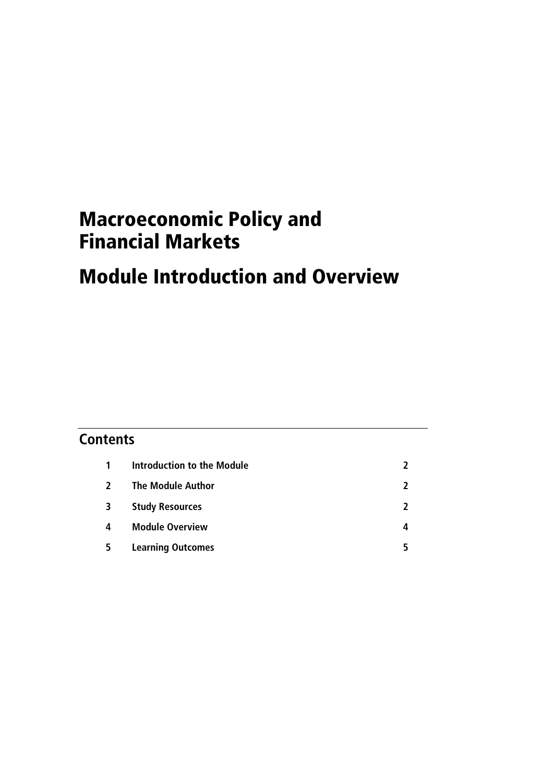# Macroeconomic Policy and Financial Markets

# Module Introduction and Overview

## **Contents 1 Introduction to the Module 2 2 The Module Author 2 3 Study Resources 2 4 Module Overview 4 5 Learning Outcomes 5**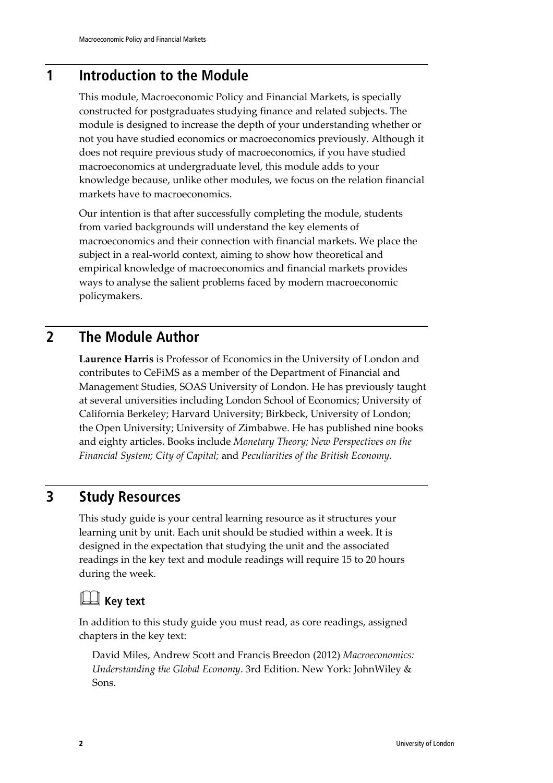### **1 Introduction to the Module**

This module, Macroeconomic Policy and Financial Markets, is specially constructed for postgraduates studying finance and related subjects. The module is designed to increase the depth of your understanding whether or not you have studied economics or macroeconomics previously. Although it does not require previous study of macroeconomics, if you have studied macroeconomics at undergraduate level, this module adds to your knowledge because, unlike other modules, we focus on the relation financial markets have to macroeconomics.

Our intention is that after successfully completing the module, students from varied backgrounds will understand the key elements of macroeconomics and their connection with financial markets. We place the subject in a real-world context, aiming to show how theoretical and empirical knowledge of macroeconomics and financial markets provides ways to analyse the salient problems faced by modern macroeconomic policymakers.

### **2 The Module Author**

**Laurence Harris** is Professor of Economics in the University of London and contributes to CeFiMS as a member of the Department of Financial and Management Studies, SOAS University of London. He has previously taught at several universities including London School of Economics; University of California Berkeley; Harvard University; Birkbeck, University of London; the Open University; University of Zimbabwe. He has published nine books and eighty articles. Books include *Monetary Theory; New Perspectives on the Financial System; City of Capital;* and *Peculiarities of the British Economy.*

### **3 Study Resources**

This study guide is your central learning resource as it structures your learning unit by unit. Each unit should be studied within a week. It is designed in the expectation that studying the unit and the associated readings in the key text and module readings will require 15 to 20 hours during the week.

## **Key text**

In addition to this study guide you must read, as core readings, assigned chapters in the key text:

David Miles, Andrew Scott and Francis Breedon (2012) *Macroeconomics: Understanding the Global Economy*. 3rd Edition. New York: JohnWiley & Sons.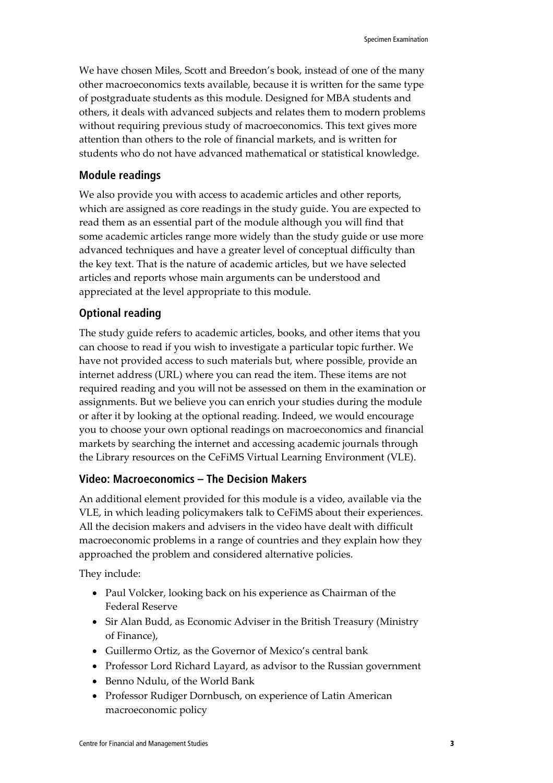We have chosen Miles, Scott and Breedon's book, instead of one of the many other macroeconomics texts available, because it is written for the same type of postgraduate students as this module. Designed for MBA students and others, it deals with advanced subjects and relates them to modern problems without requiring previous study of macroeconomics. This text gives more attention than others to the role of financial markets, and is written for students who do not have advanced mathematical or statistical knowledge.

#### **Module readings**

We also provide you with access to academic articles and other reports, which are assigned as core readings in the study guide. You are expected to read them as an essential part of the module although you will find that some academic articles range more widely than the study guide or use more advanced techniques and have a greater level of conceptual difficulty than the key text. That is the nature of academic articles, but we have selected articles and reports whose main arguments can be understood and appreciated at the level appropriate to this module.

### **Optional reading**

The study guide refers to academic articles, books, and other items that you can choose to read if you wish to investigate a particular topic further. We have not provided access to such materials but, where possible, provide an internet address (URL) where you can read the item. These items are not required reading and you will not be assessed on them in the examination or assignments. But we believe you can enrich your studies during the module or after it by looking at the optional reading. Indeed, we would encourage you to choose your own optional readings on macroeconomics and financial markets by searching the internet and accessing academic journals through the Library resources on the CeFiMS Virtual Learning Environment (VLE).

### **Video: Macroeconomics – The Decision Makers**

An additional element provided for this module is a video, available via the VLE, in which leading policymakers talk to CeFiMS about their experiences. All the decision makers and advisers in the video have dealt with difficult macroeconomic problems in a range of countries and they explain how they approached the problem and considered alternative policies.

They include:

- Paul Volcker, looking back on his experience as Chairman of the Federal Reserve
- Sir Alan Budd, as Economic Adviser in the British Treasury (Ministry of Finance),
- Guillermo Ortiz, as the Governor of Mexico's central bank
- Professor Lord Richard Layard, as advisor to the Russian government
- Benno Ndulu, of the World Bank
- Professor Rudiger Dornbusch, on experience of Latin American macroeconomic policy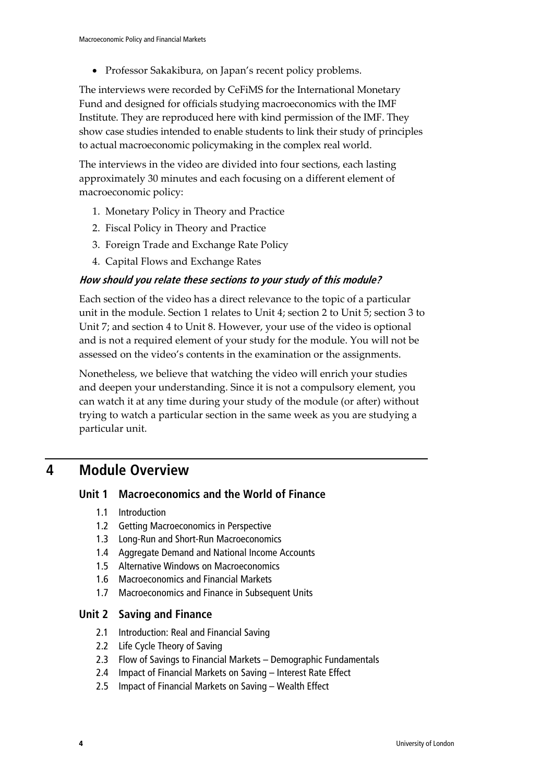• Professor Sakakibura, on Japan's recent policy problems.

The interviews were recorded by CeFiMS for the International Monetary Fund and designed for officials studying macroeconomics with the IMF Institute. They are reproduced here with kind permission of the IMF. They show case studies intended to enable students to link their study of principles to actual macroeconomic policymaking in the complex real world.

The interviews in the video are divided into four sections, each lasting approximately 30 minutes and each focusing on a different element of macroeconomic policy:

- 1. Monetary Policy in Theory and Practice
- 2. Fiscal Policy in Theory and Practice
- 3. Foreign Trade and Exchange Rate Policy
- 4. Capital Flows and Exchange Rates

### **How should you relate these sections to your study of this module?**

Each section of the video has a direct relevance to the topic of a particular unit in the module. Section 1 relates to Unit 4; section 2 to Unit 5; section 3 to Unit 7; and section 4 to Unit 8. However, your use of the video is optional and is not a required element of your study for the module. You will not be assessed on the video's contents in the examination or the assignments.

Nonetheless, we believe that watching the video will enrich your studies and deepen your understanding. Since it is not a compulsory element, you can watch it at any time during your study of the module (or after) without trying to watch a particular section in the same week as you are studying a particular unit.

### **4 Module Overview**

### **Unit 1 Macroeconomics and the World of Finance**

- 1.1 Introduction
- 1.2 Getting Macroeconomics in Perspective
- 1.3 Long-Run and Short-Run Macroeconomics
- 1.4 Aggregate Demand and National Income Accounts
- 1.5 Alternative Windows on Macroeconomics
- 1.6 Macroeconomics and Financial Markets
- 1.7 Macroeconomics and Finance in Subsequent Units

### **Unit 2 Saving and Finance**

- 2.1 Introduction: Real and Financial Saving
- 2.2 Life Cycle Theory of Saving
- 2.3 Flow of Savings to Financial Markets Demographic Fundamentals
- 2.4 Impact of Financial Markets on Saving Interest Rate Effect
- 2.5 Impact of Financial Markets on Saving Wealth Effect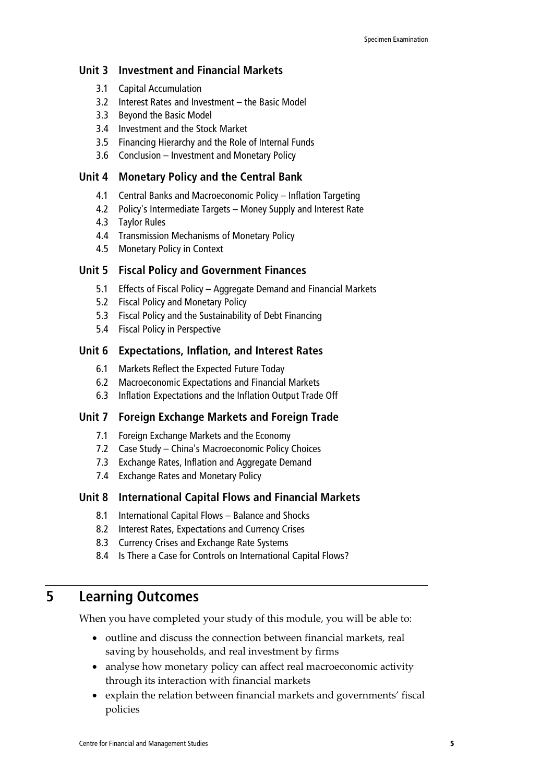### **Unit 3 Investment and Financial Markets**

- 3.1 Capital Accumulation
- 3.2 Interest Rates and Investment the Basic Model
- 3.3 Beyond the Basic Model
- 3.4 Investment and the Stock Market
- 3.5 Financing Hierarchy and the Role of Internal Funds
- 3.6 Conclusion Investment and Monetary Policy

#### **Unit 4 Monetary Policy and the Central Bank**

- 4.1 Central Banks and Macroeconomic Policy Inflation Targeting
- 4.2 Policy's Intermediate Targets Money Supply and Interest Rate
- 4.3 Taylor Rules
- 4.4 Transmission Mechanisms of Monetary Policy
- 4.5 Monetary Policy in Context

### **Unit 5 Fiscal Policy and Government Finances**

- 5.1 Effects of Fiscal Policy Aggregate Demand and Financial Markets
- 5.2 Fiscal Policy and Monetary Policy
- 5.3 Fiscal Policy and the Sustainability of Debt Financing
- 5.4 Fiscal Policy in Perspective

#### **Unit 6 Expectations, Inflation, and Interest Rates**

- 6.1 Markets Reflect the Expected Future Today
- 6.2 Macroeconomic Expectations and Financial Markets
- 6.3 Inflation Expectations and the Inflation Output Trade Off

#### **Unit 7 Foreign Exchange Markets and Foreign Trade**

- 7.1 Foreign Exchange Markets and the Economy
- 7.2 Case Study China's Macroeconomic Policy Choices
- 7.3 Exchange Rates, Inflation and Aggregate Demand
- 7.4 Exchange Rates and Monetary Policy

#### **Unit 8 International Capital Flows and Financial Markets**

- 8.1 International Capital Flows Balance and Shocks
- 8.2 Interest Rates, Expectations and Currency Crises
- 8.3 Currency Crises and Exchange Rate Systems
- 8.4 Is There a Case for Controls on International Capital Flows?

### **5 Learning Outcomes**

When you have completed your study of this module, you will be able to:

- outline and discuss the connection between financial markets, real saving by households, and real investment by firms
- analyse how monetary policy can affect real macroeconomic activity through its interaction with financial markets
- explain the relation between financial markets and governments' fiscal policies